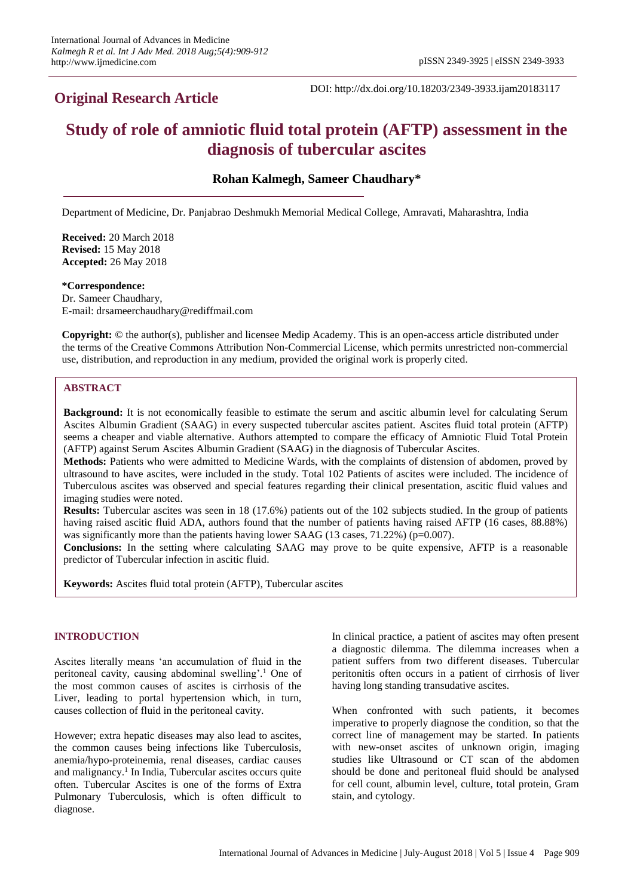# **Original Research Article**

DOI: http://dx.doi.org/10.18203/2349-3933.ijam20183117

# **Study of role of amniotic fluid total protein (AFTP) assessment in the diagnosis of tubercular ascites**

**Rohan Kalmegh, Sameer Chaudhary\***

Department of Medicine, Dr. Panjabrao Deshmukh Memorial Medical College, Amravati, Maharashtra, India

**Received:** 20 March 2018 **Revised:** 15 May 2018 **Accepted:** 26 May 2018

#### **\*Correspondence:**

Dr. Sameer Chaudhary, E-mail: drsameerchaudhary@rediffmail.com

**Copyright:** © the author(s), publisher and licensee Medip Academy. This is an open-access article distributed under the terms of the Creative Commons Attribution Non-Commercial License, which permits unrestricted non-commercial use, distribution, and reproduction in any medium, provided the original work is properly cited.

### **ABSTRACT**

**Background:** It is not economically feasible to estimate the serum and ascitic albumin level for calculating Serum Ascites Albumin Gradient (SAAG) in every suspected tubercular ascites patient. Ascites fluid total protein (AFTP) seems a cheaper and viable alternative. Authors attempted to compare the efficacy of Amniotic Fluid Total Protein (AFTP) against Serum Ascites Albumin Gradient (SAAG) in the diagnosis of Tubercular Ascites.

**Methods:** Patients who were admitted to Medicine Wards, with the complaints of distension of abdomen, proved by ultrasound to have ascites, were included in the study. Total 102 Patients of ascites were included. The incidence of Tuberculous ascites was observed and special features regarding their clinical presentation, ascitic fluid values and imaging studies were noted.

**Results:** Tubercular ascites was seen in 18 (17.6%) patients out of the 102 subjects studied. In the group of patients having raised ascitic fluid ADA, authors found that the number of patients having raised AFTP (16 cases, 88.88%) was significantly more than the patients having lower SAAG (13 cases, 71.22%) (p=0.007).

**Conclusions:** In the setting where calculating SAAG may prove to be quite expensive, AFTP is a reasonable predictor of Tubercular infection in ascitic fluid.

**Keywords:** Ascites fluid total protein (AFTP), Tubercular ascites

# **INTRODUCTION**

Ascites literally means 'an accumulation of fluid in the peritoneal cavity, causing abdominal swelling'.<sup>1</sup> One of the most common causes of ascites is cirrhosis of the Liver, leading to portal hypertension which, in turn, causes collection of fluid in the peritoneal cavity.

However; extra hepatic diseases may also lead to ascites, the common causes being infections like Tuberculosis, anemia/hypo-proteinemia, renal diseases, cardiac causes and malignancy.<sup>1</sup> In India, Tubercular ascites occurs quite often. Tubercular Ascites is one of the forms of Extra Pulmonary Tuberculosis, which is often difficult to diagnose.

In clinical practice, a patient of ascites may often present a diagnostic dilemma. The dilemma increases when a patient suffers from two different diseases. Tubercular peritonitis often occurs in a patient of cirrhosis of liver having long standing transudative ascites.

When confronted with such patients, it becomes imperative to properly diagnose the condition, so that the correct line of management may be started. In patients with new-onset ascites of unknown origin, imaging studies like Ultrasound or CT scan of the abdomen should be done and peritoneal fluid should be analysed for cell count, albumin level, culture, total protein, Gram stain, and cytology.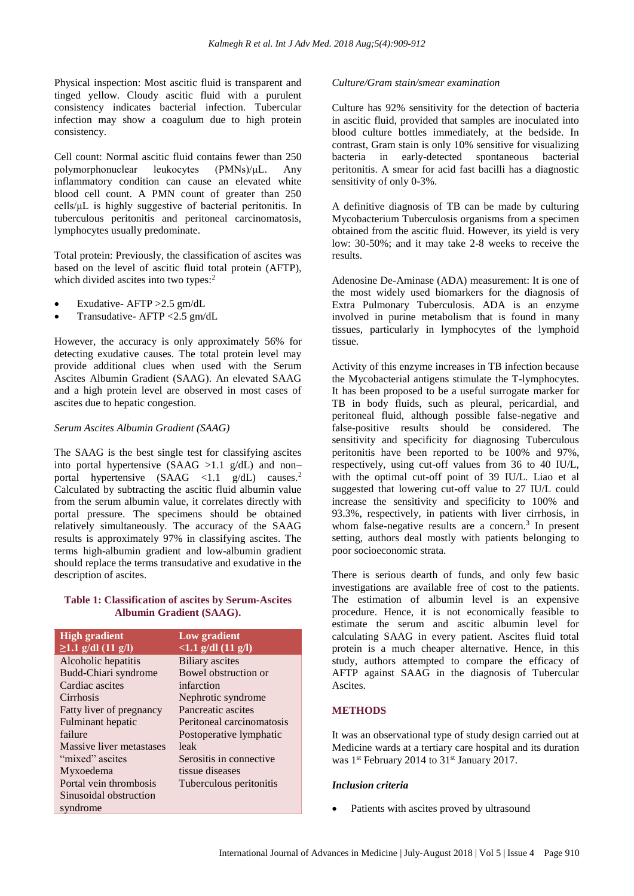Physical inspection: Most ascitic fluid is transparent and tinged yellow. Cloudy ascitic fluid with a purulent consistency indicates bacterial infection. Tubercular infection may show a coagulum due to high protein consistency.

Cell count: Normal ascitic fluid contains fewer than 250 polymorphonuclear leukocytes (PMNs)/μL. Any inflammatory condition can cause an elevated white blood cell count. A PMN count of greater than 250 cells/μL is highly suggestive of bacterial peritonitis. In tuberculous peritonitis and peritoneal carcinomatosis, lymphocytes usually predominate.

Total protein: Previously, the classification of ascites was based on the level of ascitic fluid total protein (AFTP), which divided ascites into two types:<sup>2</sup>

- Exudative- AFTP >2.5 gm/dL
- Transudative- AFTP <2.5 gm/dL

However, the accuracy is only approximately 56% for detecting exudative causes. The total protein level may provide additional clues when used with the Serum Ascites Albumin Gradient (SAAG). An elevated SAAG and a high protein level are observed in most cases of ascites due to hepatic congestion.

### *Serum Ascites Albumin Gradient (SAAG)*

The SAAG is the best single test for classifying ascites into portal hypertensive  $(SAAG > 1.1 g/dL)$  and non– portal hypertensive  $(SAAG \le 1.1 \text{ g/dL})$  causes.<sup>2</sup> Calculated by subtracting the ascitic fluid albumin value from the serum albumin value, it correlates directly with portal pressure. The specimens should be obtained relatively simultaneously. The accuracy of the SAAG results is approximately 97% in classifying ascites. The terms high-albumin gradient and low-albumin gradient should replace the terms transudative and exudative in the description of ascites.

### **Table 1: Classification of ascites by Serum-Ascites Albumin Gradient (SAAG).**

| <b>High gradient</b>     | Low gradient              |
|--------------------------|---------------------------|
| $\geq$ 1.1 g/dl (11 g/l) | $<1.1$ g/dl $(11$ g/l)    |
| Alcoholic hepatitis      | <b>Biliary</b> ascites    |
| Budd-Chiari syndrome     | Bowel obstruction or      |
| Cardiac ascites          | infarction                |
| Cirrhosis                | Nephrotic syndrome        |
| Fatty liver of pregnancy | Pancreatic ascites        |
| Fulminant hepatic        | Peritoneal carcinomatosis |
| failure                  | Postoperative lymphatic   |
| Massive liver metastases | leak                      |
| "mixed" ascites          | Serositis in connective   |
| Myxoedema                | tissue diseases           |
| Portal vein thrombosis   | Tuberculous peritonitis   |
| Sinusoidal obstruction   |                           |
| syndrome                 |                           |

# *Culture/Gram stain/smear examination*

Culture has 92% sensitivity for the detection of bacteria in ascitic fluid, provided that samples are inoculated into blood culture bottles immediately, at the bedside. In contrast, Gram stain is only 10% sensitive for visualizing bacteria in early-detected spontaneous bacterial peritonitis. A smear for acid fast bacilli has a diagnostic sensitivity of only 0-3%.

A definitive diagnosis of TB can be made by culturing Mycobacterium Tuberculosis organisms from a specimen obtained from the ascitic fluid. However, its yield is very low: 30-50%; and it may take 2-8 weeks to receive the results.

Adenosine De-Aminase (ADA) measurement: It is one of the most widely used biomarkers for the diagnosis of Extra Pulmonary Tuberculosis. ADA is an enzyme involved in purine metabolism that is found in many tissues, particularly in lymphocytes of the lymphoid tissue.

Activity of this enzyme increases in TB infection because the Mycobacterial antigens stimulate the T-lymphocytes. It has been proposed to be a useful surrogate marker for TB in body fluids, such as pleural, pericardial, and peritoneal fluid, although possible false-negative and false-positive results should be considered. The sensitivity and specificity for diagnosing Tuberculous peritonitis have been reported to be 100% and 97%, respectively, using cut-off values from 36 to 40 IU/L, with the optimal cut-off point of 39 IU/L. Liao et al suggested that lowering cut-off value to 27 IU/L could increase the sensitivity and specificity to 100% and 93.3%, respectively, in patients with liver cirrhosis, in whom false-negative results are a concern.<sup>3</sup> In present setting, authors deal mostly with patients belonging to poor socioeconomic strata.

There is serious dearth of funds, and only few basic investigations are available free of cost to the patients. The estimation of albumin level is an expensive procedure. Hence, it is not economically feasible to estimate the serum and ascitic albumin level for calculating SAAG in every patient. Ascites fluid total protein is a much cheaper alternative. Hence, in this study, authors attempted to compare the efficacy of AFTP against SAAG in the diagnosis of Tubercular Ascites.

# **METHODS**

It was an observational type of study design carried out at Medicine wards at a tertiary care hospital and its duration was 1<sup>st</sup> February 2014 to 31<sup>st</sup> January 2017.

# *Inclusion criteria*

Patients with ascites proved by ultrasound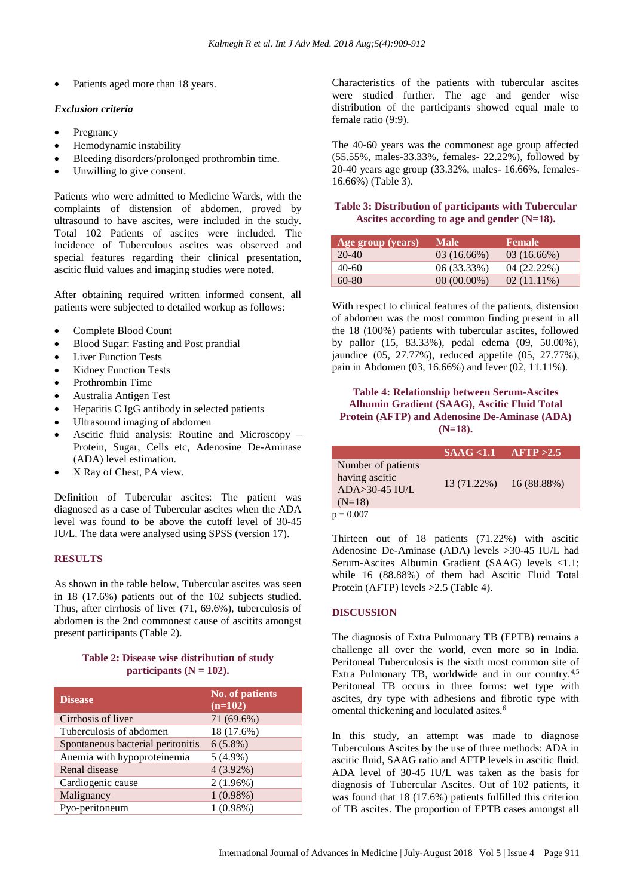Patients aged more than 18 years.

### *Exclusion criteria*

- **Pregnancy**
- Hemodynamic instability
- Bleeding disorders/prolonged prothrombin time.
- Unwilling to give consent.

Patients who were admitted to Medicine Wards, with the complaints of distension of abdomen, proved by ultrasound to have ascites, were included in the study. Total 102 Patients of ascites were included. The incidence of Tuberculous ascites was observed and special features regarding their clinical presentation, ascitic fluid values and imaging studies were noted.

After obtaining required written informed consent, all patients were subjected to detailed workup as follows:

- Complete Blood Count
- Blood Sugar: Fasting and Post prandial
- **Liver Function Tests**
- **Kidney Function Tests**
- Prothrombin Time
- Australia Antigen Test
- Hepatitis C IgG antibody in selected patients
- Ultrasound imaging of abdomen
- Ascitic fluid analysis: Routine and Microscopy Protein, Sugar, Cells etc, Adenosine De-Aminase (ADA) level estimation.
- X Ray of Chest, PA view.

Definition of Tubercular ascites: The patient was diagnosed as a case of Tubercular ascites when the ADA level was found to be above the cutoff level of 30-45 IU/L. The data were analysed using SPSS (version 17).

#### **RESULTS**

As shown in the table below, Tubercular ascites was seen in 18 (17.6%) patients out of the 102 subjects studied. Thus, after cirrhosis of liver (71, 69.6%), tuberculosis of abdomen is the 2nd commonest cause of ascitits amongst present participants (Table 2).

# **Table 2: Disease wise distribution of study participants**  $(N = 102)$ .

| <b>Disease</b>                    | <b>No. of patients</b><br>$(n=102)$ |
|-----------------------------------|-------------------------------------|
| Cirrhosis of liver                | 71 (69.6%)                          |
| Tuberculosis of abdomen           | 18 (17.6%)                          |
| Spontaneous bacterial peritonitis | $6(5.8\%)$                          |
| Anemia with hypoproteinemia       | $5(4.9\%)$                          |
| Renal disease                     | $4(3.92\%)$                         |
| Cardiogenic cause                 | $2(1.96\%)$                         |
| Malignancy                        | 1(0.98%)                            |
| Pyo-peritoneum                    | 1(0.98%)                            |

Characteristics of the patients with tubercular ascites were studied further. The age and gender wise distribution of the participants showed equal male to female ratio (9:9).

The 40-60 years was the commonest age group affected (55.55%, males-33.33%, females- 22.22%), followed by 20-40 years age group (33.32%, males- 16.66%, females-16.66%) (Table 3).

#### **Table 3: Distribution of participants with Tubercular Ascites according to age and gender (N=18).**

| Age group (years) | Male.         | <b>Female</b> |
|-------------------|---------------|---------------|
| $20-40$           | $03(16.66\%)$ | $03(16.66\%)$ |
| 40-60             | 06 (33.33%)   | $04(22.22\%)$ |
| 60-80             | $00(00.00\%)$ | $02(11.11\%)$ |

With respect to clinical features of the patients, distension of abdomen was the most common finding present in all the 18 (100%) patients with tubercular ascites, followed by pallor (15, 83.33%), pedal edema (09, 50.00%), jaundice (05, 27.77%), reduced appetite (05, 27.77%), pain in Abdomen (03, 16.66%) and fever (02, 11.11%).

# **Table 4: Relationship between Serum-Ascites Albumin Gradient (SAAG), Ascitic Fluid Total Protein (AFTP) and Adenosine De-Aminase (ADA) (N=18).**

|                                                                        | $SAAG \leq 1.1$ | AFTP > 2.5    |
|------------------------------------------------------------------------|-----------------|---------------|
| Number of patients<br>having ascitic<br>$ADA > 30-45$ IU/L<br>$(N=18)$ | 13 (71.22%)     | $16(88.88\%)$ |
| $p = 0.007$                                                            |                 |               |

Thirteen out of 18 patients (71.22%) with ascitic Adenosine De-Aminase (ADA) levels >30-45 IU/L had Serum-Ascites Albumin Gradient (SAAG) levels <1.1; while 16 (88.88%) of them had Ascitic Fluid Total Protein (AFTP) levels >2.5 (Table 4).

# **DISCUSSION**

The diagnosis of Extra Pulmonary TB (EPTB) remains a challenge all over the world, even more so in India. Peritoneal Tuberculosis is the sixth most common site of Extra Pulmonary TB, worldwide and in our country.<sup>4,5</sup> Peritoneal TB occurs in three forms: wet type with ascites, dry type with adhesions and fibrotic type with omental thickening and loculated asites.<sup>6</sup>

In this study, an attempt was made to diagnose Tuberculous Ascites by the use of three methods: ADA in ascitic fluid, SAAG ratio and AFTP levels in ascitic fluid. ADA level of 30-45 IU/L was taken as the basis for diagnosis of Tubercular Ascites. Out of 102 patients, it was found that 18 (17.6%) patients fulfilled this criterion of TB ascites. The proportion of EPTB cases amongst all